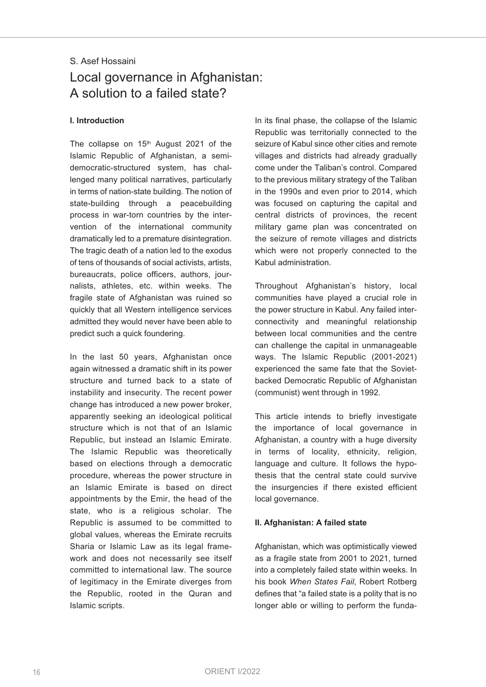## S. Asef Hossaini

# Local governance in Afghanistan: A solution to a failed state?

## **I. Introduction**

The collapse on  $15<sup>th</sup>$  August 2021 of the Islamic Republic of Afghanistan, a semidemocratic-structured system, has challenged many political narratives, particularly in terms of nation-state building. The notion of state-building through a peacebuilding process in war-torn countries by the intervention of the international community dramatically led to a premature disintegration. The tragic death of a nation led to the exodus of tens of thousands of social activists, artists, bureaucrats, police officers, authors, journalists, athletes, etc. within weeks. The fragile state of Afghanistan was ruined so quickly that all Western intelligence services admitted they would never have been able to predict such a quick foundering.

In the last 50 years, Afghanistan once again witnessed a dramatic shift in its power structure and turned back to a state of instability and insecurity. The recent power change has introduced a new power broker, apparently seeking an ideological political structure which is not that of an Islamic Republic, but instead an Islamic Emirate. The Islamic Republic was theoretically based on elections through a democratic procedure, whereas the power structure in an Islamic Emirate is based on direct appointments by the Emir, the head of the state, who is a religious scholar. The Republic is assumed to be committed to global values, whereas the Emirate recruits Sharia or Islamic Law as its legal framework and does not necessarily see itself committed to international law. The source of legitimacy in the Emirate diverges from the Republic, rooted in the Quran and Islamic scripts.

In its final phase, the collapse of the Islamic Republic was territorially connected to the seizure of Kabul since other cities and remote villages and districts had already gradually come under the Taliban's control. Compared to the previous military strategy of the Taliban in the 1990s and even prior to 2014, which was focused on capturing the capital and central districts of provinces, the recent military game plan was concentrated on the seizure of remote villages and districts which were not properly connected to the Kabul administration.

Throughout Afghanistan's history, local communities have played a crucial role in the power structure in Kabul. Any failed interconnectivity and meaningful relationship between local communities and the centre can challenge the capital in unmanageable ways. The Islamic Republic (2001-2021) experienced the same fate that the Sovietbacked Democratic Republic of Afghanistan (communist) went through in 1992.

This article intends to briefly investigate the importance of local governance in Afghanistan, a country with a huge diversity in terms of locality, ethnicity, religion, language and culture. It follows the hypothesis that the central state could survive the insurgencies if there existed efficient local governance.

### **II. Afghanistan: A failed state**

Afghanistan, which was optimistically viewed as a fragile state from 2001 to 2021, turned into a completely failed state within weeks. In his book *When States Fail*, Robert Rotberg defines that "a failed state is a polity that is no longer able or willing to perform the funda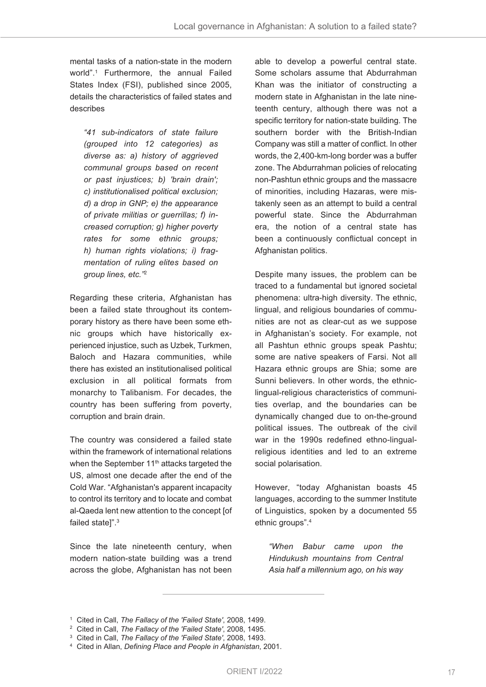mental tasks of a nation-state in the modern world". <sup>1</sup> Furthermore, the annual Failed States Index (FSI), published since 2005, details the characteristics of failed states and describes

*"41 sub-indicators of state failure (grouped into 12 categories) as diverse as: a) history of aggrieved communal groups based on recent or past injustices; b) 'brain drain'; c) institutionalised political exclusion; d) a drop in GNP; e) the appearance of private militias or guerrillas; f) increased corruption; g) higher poverty rates for some ethnic groups; h) human rights violations; i) fragmentation of ruling elites based on group lines, etc."*<sup>2</sup>

Regarding these criteria, Afghanistan has been a failed state throughout its contemporary history as there have been some ethnic groups which have historically experienced injustice, such as Uzbek, Turkmen, Baloch and Hazara communities, while there has existed an institutionalised political exclusion in all political formats from monarchy to Talibanism. For decades, the country has been suffering from poverty, corruption and brain drain.

The country was considered a failed state within the framework of international relations when the September 11<sup>th</sup> attacks targeted the US, almost one decade after the end of the Cold War. "Afghanistan's apparent incapacity to control its territory and to locate and combat al-Qaeda lent new attention to the concept [of failed state]". 3

Since the late nineteenth century, when modern nation-state building was a trend across the globe, Afghanistan has not been

able to develop a powerful central state. Some scholars assume that Abdurrahman Khan was the initiator of constructing a modern state in Afghanistan in the late nineteenth century, although there was not a specific territory for nation-state building. The southern border with the British-Indian Company was still a matter of conflict. In other words, the 2,400-km-long border was a buffer zone. The Abdurrahman policies of relocating non-Pashtun ethnic groups and the massacre of minorities, including Hazaras, were mistakenly seen as an attempt to build a central powerful state. Since the Abdurrahman era, the notion of a central state has been a continuously conflictual concept in Afghanistan politics.

Despite many issues, the problem can be traced to a fundamental but ignored societal phenomena: ultra-high diversity. The ethnic, lingual, and religious boundaries of communities are not as clear-cut as we suppose in Afghanistan's society. For example, not all Pashtun ethnic groups speak Pashtu; some are native speakers of Farsi. Not all Hazara ethnic groups are Shia; some are Sunni believers. In other words, the ethniclingual-religious characteristics of communities overlap, and the boundaries can be dynamically changed due to on-the-ground political issues. The outbreak of the civil war in the 1990s redefined ethno-lingualreligious identities and led to an extreme social polarisation.

However, "today Afghanistan boasts 45 languages, according to the summer Institute of Linguistics, spoken by a documented 55 ethnic groups". 4

*"When Babur came upon the Hindukush mountains from Central Asia half a millennium ago, on his way*

<sup>1</sup> Cited in Call, *The Fallacy of the 'Failed State'*, 2008, 1499.

<sup>2</sup> Cited in Call, *The Fallacy of the 'Failed State'*, 2008, 1495.

<sup>3</sup> Cited in Call, *The Fallacy of the 'Failed State'*, 2008, 1493.

<sup>4</sup> Cited in Allan, *Defining Place and People in Afghanistan*, 2001.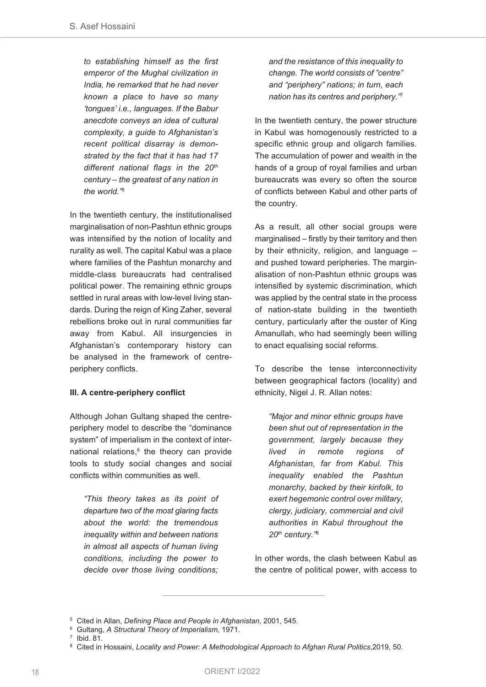*to establishing himself as the first emperor of the Mughal civilization in India, he remarked that he had never known a place to have so many 'tongues' i.e., languages. If the Babur anecdote conveys an idea of cultural complexity, a guide to Afghanistan's recent political disarray is demonstrated by the fact that it has had 17 different national flags in the 20th century – the greatest of any nation in the world."*<sup>5</sup>

In the twentieth century, the institutionalised marginalisation of non-Pashtun ethnic groups was intensified by the notion of locality and rurality as well. The capital Kabul was a place where families of the Pashtun monarchy and middle-class bureaucrats had centralised political power. The remaining ethnic groups settled in rural areas with low-level living standards. During the reign of King Zaher, several rebellions broke out in rural communities far away from Kabul. All insurgencies in Afghanistan's contemporary history can be analysed in the framework of centreperiphery conflicts.

## **III. A centre-periphery conflict**

Although Johan Gultang shaped the centreperiphery model to describe the "dominance system" of imperialism in the context of international relations, <sup>6</sup> the theory can provide tools to study social changes and social conflicts within communities as well.

*"This theory takes as its point of departure two of the most glaring facts about the world: the tremendous inequality within and between nations in almost all aspects of human living conditions, including the power to decide over those living conditions;*

*and the resistance of this inequality to change. The world consists of "centre" and "periphery" nations; in turn, each nation has its centres and periphery."*<sup>7</sup>

In the twentieth century, the power structure in Kabul was homogenously restricted to a specific ethnic group and oligarch families. The accumulation of power and wealth in the hands of a group of royal families and urban bureaucrats was every so often the source of conflicts between Kabul and other parts of the country.

As a result, all other social groups were marginalised – firstly by their territory and then by their ethnicity, religion, and language – and pushed toward peripheries. The marginalisation of non-Pashtun ethnic groups was intensified by systemic discrimination, which was applied by the central state in the process of nation-state building in the twentieth century, particularly after the ouster of King Amanullah, who had seemingly been willing to enact equalising social reforms.

To describe the tense interconnectivity between geographical factors (locality) and ethnicity, Nigel J. R. Allan notes:

*"Major and minor ethnic groups have been shut out of representation in the government, largely because they lived in remote regions of Afghanistan, far from Kabul. This inequality enabled the Pashtun monarchy, backed by their kinfolk, to exert hegemonic control over military, clergy, judiciary, commercial and civil authorities in Kabul throughout the 20th century."*<sup>8</sup>

In other words, the clash between Kabul as the centre of political power, with access to

<sup>5</sup> Cited in Allan, *Defining Place and People in Afghanistan*, 2001, 545.

<sup>6</sup> Gultang, *A Structural Theory of Imperialism*, 1971.

<sup>7</sup> Ibid. 81.

<sup>8</sup> Cited in Hossaini, *Locality and Power: A Methodological Approach to Afghan Rural Politics*,2019, 50.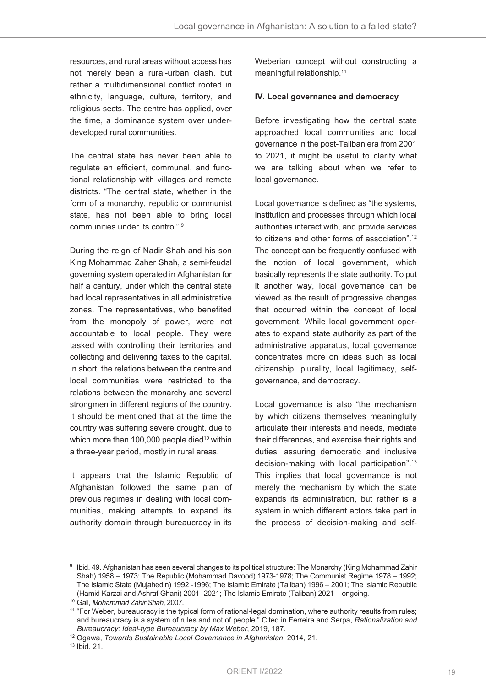resources, and rural areas without access has not merely been a rural-urban clash, but rather a multidimensional conflict rooted in ethnicity, language, culture, territory, and religious sects. The centre has applied, over the time, a dominance system over underdeveloped rural communities.

The central state has never been able to regulate an efficient, communal, and functional relationship with villages and remote districts. "The central state, whether in the form of a monarchy, republic or communist state, has not been able to bring local communities under its control". 9

During the reign of Nadir Shah and his son King Mohammad Zaher Shah, a semi-feudal governing system operated in Afghanistan for half a century, under which the central state had local representatives in all administrative zones. The representatives, who benefited from the monopoly of power, were not accountable to local people. They were tasked with controlling their territories and collecting and delivering taxes to the capital. In short, the relations between the centre and local communities were restricted to the relations between the monarchy and several strongmen in different regions of the country. It should be mentioned that at the time the country was suffering severe drought, due to which more than 100,000 people died<sup>10</sup> within a three-year period, mostly in rural areas.

It appears that the Islamic Republic of Afghanistan followed the same plan of previous regimes in dealing with local communities, making attempts to expand its authority domain through bureaucracy in its

Weberian concept without constructing a meaningful relationship. 11

#### **IV. Local governance and democracy**

Before investigating how the central state approached local communities and local governance in the post-Taliban era from 2001 to 2021, it might be useful to clarify what we are talking about when we refer to local governance.

Local governance is defined as "the systems, institution and processes through which local authorities interact with, and provide services to citizens and other forms of association". 12 The concept can be frequently confused with the notion of local government, which basically represents the state authority. To put it another way, local governance can be viewed as the result of progressive changes that occurred within the concept of local government. While local government operates to expand state authority as part of the administrative apparatus, local governance concentrates more on ideas such as local citizenship, plurality, local legitimacy, selfgovernance, and democracy.

Local governance is also "the mechanism by which citizens themselves meaningfully articulate their interests and needs, mediate their differences, and exercise their rights and duties' assuring democratic and inclusive decision-making with local participation". 13 This implies that local governance is not merely the mechanism by which the state expands its administration, but rather is a system in which different actors take part in the process of decision-making and self-

<sup>&</sup>lt;sup>9</sup> Ibid. 49. Afghanistan has seen several changes to its political structure: The Monarchy (King Mohammad Zahir Shah) 1958 – 1973; The Republic (Mohammad Davood) 1973-1978; The Communist Regime 1978 – 1992; The Islamic State (Mujahedin) 1992 -1996; The Islamic Emirate (Taliban) 1996 – 2001; The Islamic Republic (Hamid Karzai and Ashraf Ghani) 2001 -2021; The Islamic Emirate (Taliban) 2021 – ongoing.

<sup>10</sup> Gall, *Mohammad Zahir Shah*, 2007.

<sup>11</sup> "For Weber, bureaucracy is the typical form of rational-legal domination, where authority results from rules; and bureaucracy is a system of rules and not of people." Cited in Ferreira and Serpa, *Rationalization and Bureaucracy: Ideal-type Bureaucracy by Max Weber*, 2019, 187.

<sup>12</sup> Ogawa, *Towards Sustainable Local Governance in Afghanistan*, 2014, 21.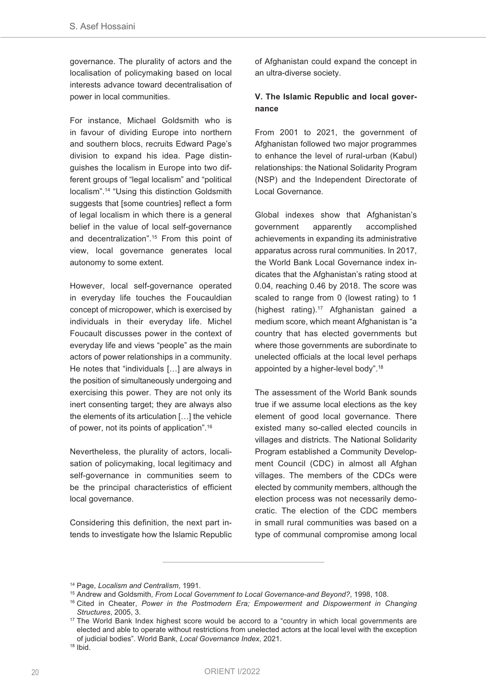governance. The plurality of actors and the localisation of policymaking based on local interests advance toward decentralisation of power in local communities.

For instance, Michael Goldsmith who is in favour of dividing Europe into northern and southern blocs, recruits Edward Page's division to expand his idea. Page distinguishes the localism in Europe into two different groups of "legal localism" and "political localism". <sup>14</sup> "Using this distinction Goldsmith suggests that [some countries] reflect a form of legal localism in which there is a general belief in the value of local self-governance and decentralization". <sup>15</sup> From this point of view, local governance generates local autonomy to some extent.

However, local self-governance operated in everyday life touches the Foucauldian concept of micropower, which is exercised by individuals in their everyday life. Michel Foucault discusses power in the context of everyday life and views "people" as the main actors of power relationships in a community. He notes that "individuals […] are always in the position of simultaneously undergoing and exercising this power. They are not only its inert consenting target; they are always also the elements of its articulation […] the vehicle of power, not its points of application". 16

Nevertheless, the plurality of actors, localisation of policymaking, local legitimacy and self-governance in communities seem to be the principal characteristics of efficient local governance.

Considering this definition, the next part intends to investigate how the Islamic Republic of Afghanistan could expand the concept in an ultra-diverse society.

## **V. The Islamic Republic and local governance**

From 2001 to 2021, the government of Afghanistan followed two major programmes to enhance the level of rural-urban (Kabul) relationships: the National Solidarity Program (NSP) and the Independent Directorate of Local Governance.

Global indexes show that Afghanistan's government apparently accomplished achievements in expanding its administrative apparatus across rural communities. In 2017, the World Bank Local Governance index indicates that the Afghanistan's rating stood at 0.04, reaching 0.46 by 2018. The score was scaled to range from 0 (lowest rating) to 1 (highest rating). <sup>17</sup> Afghanistan gained a medium score, which meant Afghanistan is "a country that has elected governments but where those governments are subordinate to unelected officials at the local level perhaps appointed by a higher-level body". 18

The assessment of the World Bank sounds true if we assume local elections as the key element of good local governance. There existed many so-called elected councils in villages and districts. The National Solidarity Program established a Community Development Council (CDC) in almost all Afghan villages. The members of the CDCs were elected by community members, although the election process was not necessarily democratic. The election of the CDC members in small rural communities was based on a type of communal compromise among local

<sup>14</sup> Page, *Localism and Centralism*, 1991.

<sup>15</sup> Andrew and Goldsmith, *From Local Government to Local Governance-and Beyond?*, 1998, 108.

<sup>16</sup> Cited in Cheater, *Power in the Postmodern Era; Empowerment and Dispowerment in Changing Structures*, 2005, 3.

<sup>&</sup>lt;sup>17</sup> The World Bank Index highest score would be accord to a "country in which local governments are elected and able to operate without restrictions from unelected actors at the local level with the exception of judicial bodies". World Bank, *Local Governance Index*, 2021.

<sup>18</sup> Ibid.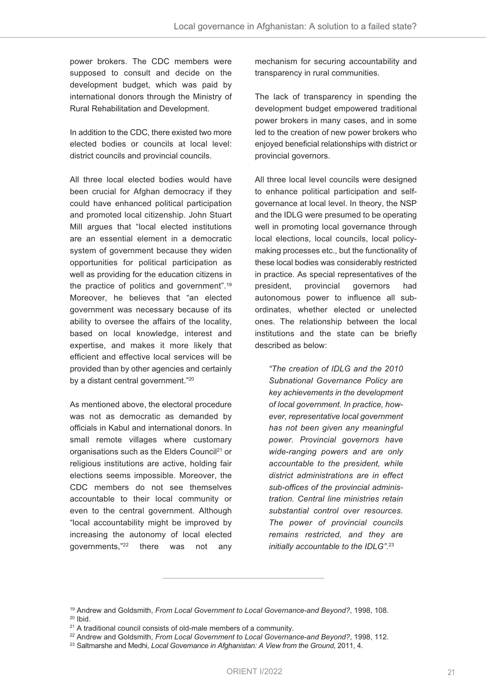power brokers. The CDC members were supposed to consult and decide on the development budget, which was paid by international donors through the Ministry of Rural Rehabilitation and Development.

In addition to the CDC, there existed two more elected bodies or councils at local level: district councils and provincial councils.

All three local elected bodies would have been crucial for Afghan democracy if they could have enhanced political participation and promoted local citizenship. John Stuart Mill argues that "local elected institutions are an essential element in a democratic system of government because they widen opportunities for political participation as well as providing for the education citizens in the practice of politics and government".<sup>19</sup> Moreover, he believes that "an elected government was necessary because of its ability to oversee the affairs of the locality, based on local knowledge, interest and expertise, and makes it more likely that efficient and effective local services will be provided than by other agencies and certainly by a distant central government."20

As mentioned above, the electoral procedure was not as democratic as demanded by officials in Kabul and international donors. In small remote villages where customary organisations such as the Elders Council <sup>21</sup> or religious institutions are active, holding fair elections seems impossible. Moreover, the CDC members do not see themselves accountable to their local community or even to the central government. Although "local accountability might be improved by increasing the autonomy of local elected governments,"22 there was not any

mechanism for securing accountability and transparency in rural communities.

The lack of transparency in spending the development budget empowered traditional power brokers in many cases, and in some led to the creation of new power brokers who enjoyed beneficial relationships with district or provincial governors.

All three local level councils were designed to enhance political participation and selfgovernance at local level. In theory, the NSP and the IDLG were presumed to be operating well in promoting local governance through local elections, local councils, local policymaking processes etc., but the functionality of these local bodies was considerably restricted in practice. As special representatives of the president, provincial governors had autonomous power to influence all subordinates, whether elected or unelected ones. The relationship between the local institutions and the state can be briefly described as below:

*"The creation of IDLG and the 2010 Subnational Governance Policy are key achievements in the development of local government. In practice, however, representative local government has not been given any meaningful power. Provincial governors have wide-ranging powers and are only accountable to the president, while district administrations are in effect sub-offices of the provincial administration. Central line ministries retain substantial control over resources. The power of provincial councils remains restricted, and they are initially accountable to the IDLG".* 23

<sup>19</sup> Andrew and Goldsmith, *From Local Government to Local Governance-and Beyond?*, 1998, 108.  $20$  Ibid.

<sup>&</sup>lt;sup>21</sup> A traditional council consists of old-male members of a community.

<sup>22</sup> Andrew and Goldsmith, *From Local Government to Local Governance-and Beyond?*, 1998, 112.

<sup>23</sup> Saltmarshe and Medhi, *Local Governance in Afghanistan: A View from the Ground*, 2011, 4.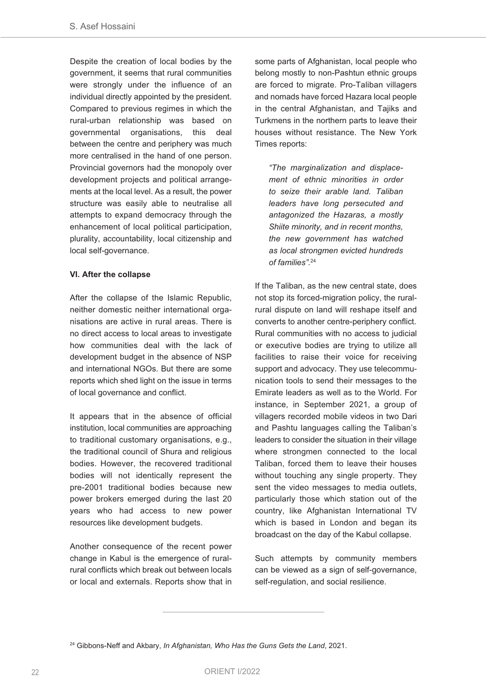Despite the creation of local bodies by the government, it seems that rural communities were strongly under the influence of an individual directly appointed by the president. Compared to previous regimes in which the rural-urban relationship was based on governmental organisations, this deal between the centre and periphery was much more centralised in the hand of one person. Provincial governors had the monopoly over development projects and political arrangements at the local level. As a result, the power structure was easily able to neutralise all attempts to expand democracy through the enhancement of local political participation, plurality, accountability, local citizenship and local self-governance.

#### **VI. After the collapse**

After the collapse of the Islamic Republic, neither domestic neither international organisations are active in rural areas. There is no direct access to local areas to investigate how communities deal with the lack of development budget in the absence of NSP and international NGOs. But there are some reports which shed light on the issue in terms of local governance and conflict.

It appears that in the absence of official institution, local communities are approaching to traditional customary organisations, e.g., the traditional council of Shura and religious bodies. However, the recovered traditional bodies will not identically represent the pre-2001 traditional bodies because new power brokers emerged during the last 20 years who had access to new power resources like development budgets.

Another consequence of the recent power change in Kabul is the emergence of ruralrural conflicts which break out between locals or local and externals. Reports show that in some parts of Afghanistan, local people who belong mostly to non-Pashtun ethnic groups are forced to migrate. Pro-Taliban villagers and nomads have forced Hazara local people in the central Afghanistan, and Tajiks and Turkmens in the northern parts to leave their houses without resistance. The New York Times reports:

*"The marginalization and displacement of ethnic minorities in order to seize their arable land. Taliban leaders have long persecuted and antagonized the Hazaras, a mostly Shiite minority, and in recent months, the new government has watched as local strongmen evicted hundreds of families".* 24

If the Taliban, as the new central state, does not stop its forced-migration policy, the ruralrural dispute on land will reshape itself and converts to another centre-periphery conflict. Rural communities with no access to judicial or executive bodies are trying to utilize all facilities to raise their voice for receiving support and advocacy. They use telecommunication tools to send their messages to the Emirate leaders as well as to the World. For instance, in September 2021, a group of villagers recorded mobile videos in two Dari and Pashtu languages calling the Taliban's leaders to consider the situation in their village where strongmen connected to the local Taliban, forced them to leave their houses without touching any single property. They sent the video messages to media outlets, particularly those which station out of the country, like Afghanistan International TV which is based in London and began its broadcast on the day of the Kabul collapse.

Such attempts by community members can be viewed as a sign of self-governance, self-regulation, and social resilience.

<sup>24</sup> Gibbons-Neff and Akbary, *In Afghanistan, Who Has the Guns Gets the Land*, 2021.